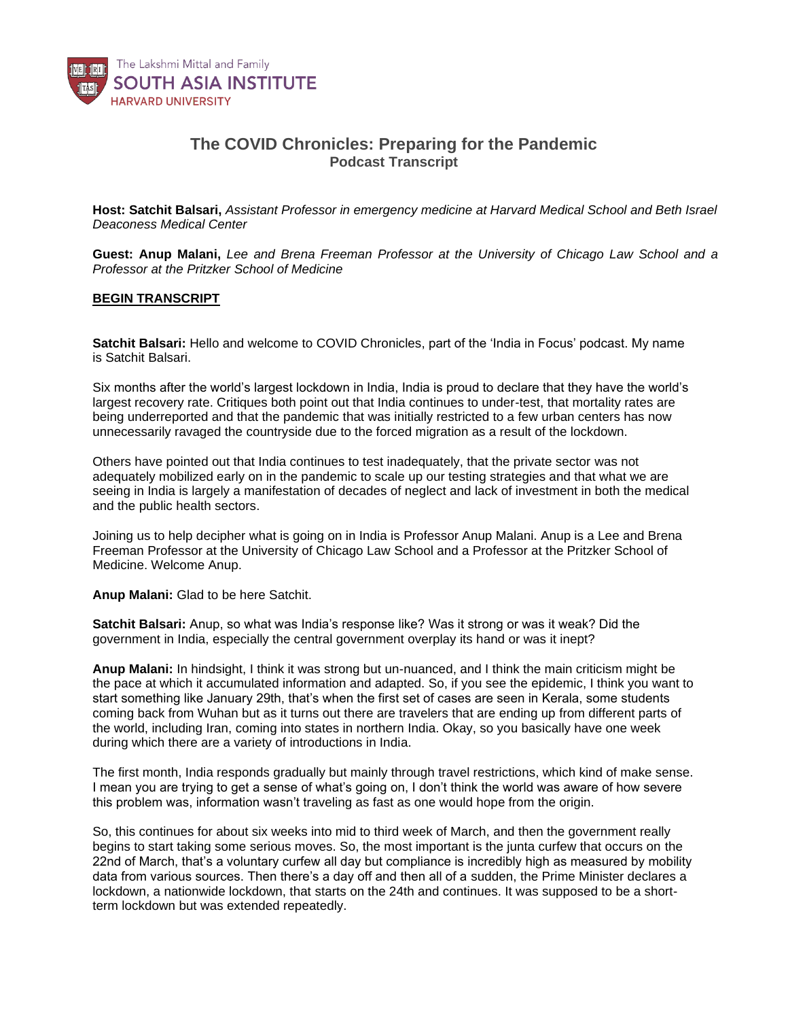

## **The COVID Chronicles: Preparing for the Pandemic** *Podcast Transcript*

**Host: Satchit Balsari,** *Assistant Professor in emergency medicine at Harvard Medical School and Beth Israel Deaconess Medical Center*

**Guest: Anup Malani,** *Lee and Brena Freeman Professor at the University of Chicago Law School and a Professor at the Pritzker School of Medicine*

## **BEGIN TRANSCRIPT**

**Satchit Balsari:** Hello and welcome to COVID Chronicles, part of the 'India in Focus' podcast. My name is Satchit Balsari.

Six months after the world's largest lockdown in India, India is proud to declare that they have the world's largest recovery rate. Critiques both point out that India continues to under-test, that mortality rates are being underreported and that the pandemic that was initially restricted to a few urban centers has now unnecessarily ravaged the countryside due to the forced migration as a result of the lockdown.

Others have pointed out that India continues to test inadequately, that the private sector was not adequately mobilized early on in the pandemic to scale up our testing strategies and that what we are seeing in India is largely a manifestation of decades of neglect and lack of investment in both the medical and the public health sectors.

Joining us to help decipher what is going on in India is Professor Anup Malani. Anup is a Lee and Brena Freeman Professor at the University of Chicago Law School and a Professor at the Pritzker School of Medicine. Welcome Anup.

**Anup Malani:** Glad to be here Satchit.

**Satchit Balsari:** Anup, so what was India's response like? Was it strong or was it weak? Did the government in India, especially the central government overplay its hand or was it inept?

**Anup Malani:** In hindsight, I think it was strong but un-nuanced, and I think the main criticism might be the pace at which it accumulated information and adapted. So, if you see the epidemic, I think you want to start something like January 29th, that's when the first set of cases are seen in Kerala, some students coming back from Wuhan but as it turns out there are travelers that are ending up from different parts of the world, including Iran, coming into states in northern India. Okay, so you basically have one week during which there are a variety of introductions in India.

The first month, India responds gradually but mainly through travel restrictions, which kind of make sense. I mean you are trying to get a sense of what's going on, I don't think the world was aware of how severe this problem was, information wasn't traveling as fast as one would hope from the origin.

So, this continues for about six weeks into mid to third week of March, and then the government really begins to start taking some serious moves. So, the most important is the junta curfew that occurs on the 22nd of March, that's a voluntary curfew all day but compliance is incredibly high as measured by mobility data from various sources. Then there's a day off and then all of a sudden, the Prime Minister declares a lockdown, a nationwide lockdown, that starts on the 24th and continues. It was supposed to be a shortterm lockdown but was extended repeatedly.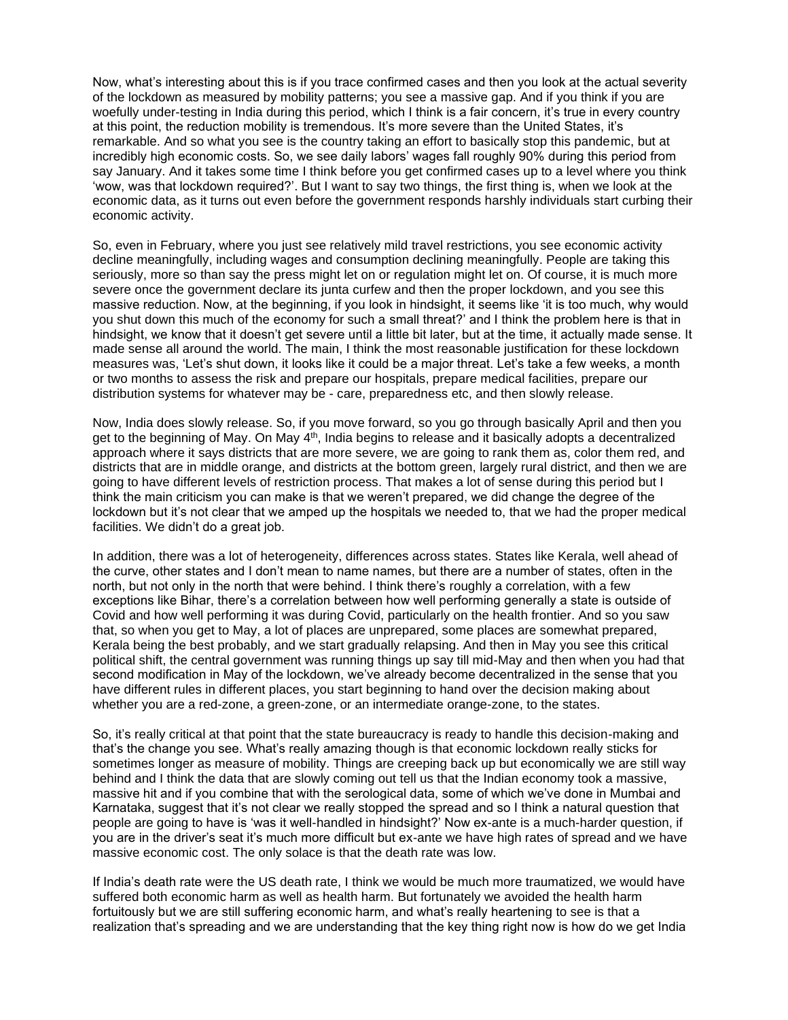Now, what's interesting about this is if you trace confirmed cases and then you look at the actual severity of the lockdown as measured by mobility patterns; you see a massive gap. And if you think if you are woefully under-testing in India during this period, which I think is a fair concern, it's true in every country at this point, the reduction mobility is tremendous. It's more severe than the United States, it's remarkable. And so what you see is the country taking an effort to basically stop this pandemic, but at incredibly high economic costs. So, we see daily labors' wages fall roughly 90% during this period from say January. And it takes some time I think before you get confirmed cases up to a level where you think 'wow, was that lockdown required?'. But I want to say two things, the first thing is, when we look at the economic data, as it turns out even before the government responds harshly individuals start curbing their economic activity.

So, even in February, where you just see relatively mild travel restrictions, you see economic activity decline meaningfully, including wages and consumption declining meaningfully. People are taking this seriously, more so than say the press might let on or regulation might let on. Of course, it is much more severe once the government declare its junta curfew and then the proper lockdown, and you see this massive reduction. Now, at the beginning, if you look in hindsight, it seems like 'it is too much, why would you shut down this much of the economy for such a small threat?' and I think the problem here is that in hindsight, we know that it doesn't get severe until a little bit later, but at the time, it actually made sense. It made sense all around the world. The main, I think the most reasonable justification for these lockdown measures was, 'Let's shut down, it looks like it could be a major threat. Let's take a few weeks, a month or two months to assess the risk and prepare our hospitals, prepare medical facilities, prepare our distribution systems for whatever may be - care, preparedness etc, and then slowly release.

Now, India does slowly release. So, if you move forward, so you go through basically April and then you get to the beginning of May. On May 4<sup>th</sup>, India begins to release and it basically adopts a decentralized approach where it says districts that are more severe, we are going to rank them as, color them red, and districts that are in middle orange, and districts at the bottom green, largely rural district, and then we are going to have different levels of restriction process. That makes a lot of sense during this period but I think the main criticism you can make is that we weren't prepared, we did change the degree of the lockdown but it's not clear that we amped up the hospitals we needed to, that we had the proper medical facilities. We didn't do a great job.

In addition, there was a lot of heterogeneity, differences across states. States like Kerala, well ahead of the curve, other states and I don't mean to name names, but there are a number of states, often in the north, but not only in the north that were behind. I think there's roughly a correlation, with a few exceptions like Bihar, there's a correlation between how well performing generally a state is outside of Covid and how well performing it was during Covid, particularly on the health frontier. And so you saw that, so when you get to May, a lot of places are unprepared, some places are somewhat prepared, Kerala being the best probably, and we start gradually relapsing. And then in May you see this critical political shift, the central government was running things up say till mid-May and then when you had that second modification in May of the lockdown, we've already become decentralized in the sense that you have different rules in different places, you start beginning to hand over the decision making about whether you are a red-zone, a green-zone, or an intermediate orange-zone, to the states.

So, it's really critical at that point that the state bureaucracy is ready to handle this decision-making and that's the change you see. What's really amazing though is that economic lockdown really sticks for sometimes longer as measure of mobility. Things are creeping back up but economically we are still way behind and I think the data that are slowly coming out tell us that the Indian economy took a massive, massive hit and if you combine that with the serological data, some of which we've done in Mumbai and Karnataka, suggest that it's not clear we really stopped the spread and so I think a natural question that people are going to have is 'was it well-handled in hindsight?' Now ex-ante is a much-harder question, if you are in the driver's seat it's much more difficult but ex-ante we have high rates of spread and we have massive economic cost. The only solace is that the death rate was low.

If India's death rate were the US death rate, I think we would be much more traumatized, we would have suffered both economic harm as well as health harm. But fortunately we avoided the health harm fortuitously but we are still suffering economic harm, and what's really heartening to see is that a realization that's spreading and we are understanding that the key thing right now is how do we get India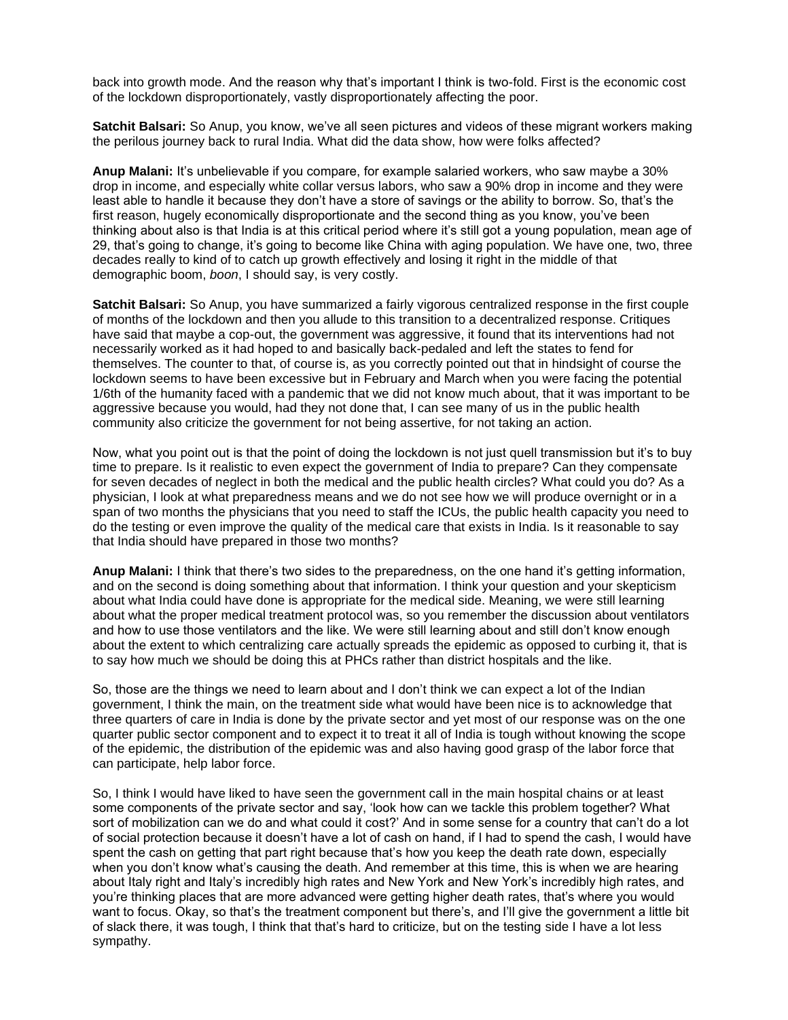back into growth mode. And the reason why that's important I think is two-fold. First is the economic cost of the lockdown disproportionately, vastly disproportionately affecting the poor.

**Satchit Balsari:** So Anup, you know, we've all seen pictures and videos of these migrant workers making the perilous journey back to rural India. What did the data show, how were folks affected?

**Anup Malani:** It's unbelievable if you compare, for example salaried workers, who saw maybe a 30% drop in income, and especially white collar versus labors, who saw a 90% drop in income and they were least able to handle it because they don't have a store of savings or the ability to borrow. So, that's the first reason, hugely economically disproportionate and the second thing as you know, you've been thinking about also is that India is at this critical period where it's still got a young population, mean age of 29, that's going to change, it's going to become like China with aging population. We have one, two, three decades really to kind of to catch up growth effectively and losing it right in the middle of that demographic boom, *boon*, I should say, is very costly.

**Satchit Balsari:** So Anup, you have summarized a fairly vigorous centralized response in the first couple of months of the lockdown and then you allude to this transition to a decentralized response. Critiques have said that maybe a cop-out, the government was aggressive, it found that its interventions had not necessarily worked as it had hoped to and basically back-pedaled and left the states to fend for themselves. The counter to that, of course is, as you correctly pointed out that in hindsight of course the lockdown seems to have been excessive but in February and March when you were facing the potential 1/6th of the humanity faced with a pandemic that we did not know much about, that it was important to be aggressive because you would, had they not done that, I can see many of us in the public health community also criticize the government for not being assertive, for not taking an action.

Now, what you point out is that the point of doing the lockdown is not just quell transmission but it's to buy time to prepare. Is it realistic to even expect the government of India to prepare? Can they compensate for seven decades of neglect in both the medical and the public health circles? What could you do? As a physician, I look at what preparedness means and we do not see how we will produce overnight or in a span of two months the physicians that you need to staff the ICUs, the public health capacity you need to do the testing or even improve the quality of the medical care that exists in India. Is it reasonable to say that India should have prepared in those two months?

**Anup Malani:** I think that there's two sides to the preparedness, on the one hand it's getting information, and on the second is doing something about that information. I think your question and your skepticism about what India could have done is appropriate for the medical side. Meaning, we were still learning about what the proper medical treatment protocol was, so you remember the discussion about ventilators and how to use those ventilators and the like. We were still learning about and still don't know enough about the extent to which centralizing care actually spreads the epidemic as opposed to curbing it, that is to say how much we should be doing this at PHCs rather than district hospitals and the like.

So, those are the things we need to learn about and I don't think we can expect a lot of the Indian government, I think the main, on the treatment side what would have been nice is to acknowledge that three quarters of care in India is done by the private sector and yet most of our response was on the one quarter public sector component and to expect it to treat it all of India is tough without knowing the scope of the epidemic, the distribution of the epidemic was and also having good grasp of the labor force that can participate, help labor force.

So, I think I would have liked to have seen the government call in the main hospital chains or at least some components of the private sector and say, 'look how can we tackle this problem together? What sort of mobilization can we do and what could it cost?' And in some sense for a country that can't do a lot of social protection because it doesn't have a lot of cash on hand, if I had to spend the cash, I would have spent the cash on getting that part right because that's how you keep the death rate down, especially when you don't know what's causing the death. And remember at this time, this is when we are hearing about Italy right and Italy's incredibly high rates and New York and New York's incredibly high rates, and you're thinking places that are more advanced were getting higher death rates, that's where you would want to focus. Okay, so that's the treatment component but there's, and I'll give the government a little bit of slack there, it was tough, I think that that's hard to criticize, but on the testing side I have a lot less sympathy.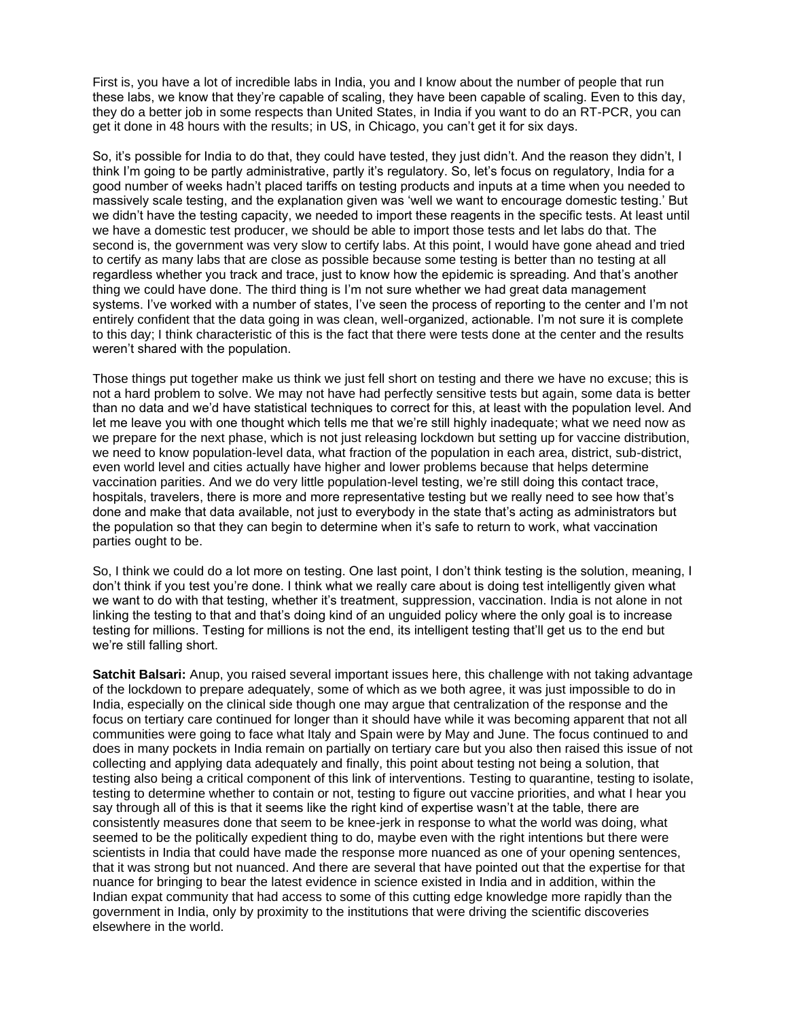First is, you have a lot of incredible labs in India, you and I know about the number of people that run these labs, we know that they're capable of scaling, they have been capable of scaling. Even to this day, they do a better job in some respects than United States, in India if you want to do an RT-PCR, you can get it done in 48 hours with the results; in US, in Chicago, you can't get it for six days.

So, it's possible for India to do that, they could have tested, they just didn't. And the reason they didn't, I think I'm going to be partly administrative, partly it's regulatory. So, let's focus on regulatory, India for a good number of weeks hadn't placed tariffs on testing products and inputs at a time when you needed to massively scale testing, and the explanation given was 'well we want to encourage domestic testing.' But we didn't have the testing capacity, we needed to import these reagents in the specific tests. At least until we have a domestic test producer, we should be able to import those tests and let labs do that. The second is, the government was very slow to certify labs. At this point, I would have gone ahead and tried to certify as many labs that are close as possible because some testing is better than no testing at all regardless whether you track and trace, just to know how the epidemic is spreading. And that's another thing we could have done. The third thing is I'm not sure whether we had great data management systems. I've worked with a number of states, I've seen the process of reporting to the center and I'm not entirely confident that the data going in was clean, well-organized, actionable. I'm not sure it is complete to this day; I think characteristic of this is the fact that there were tests done at the center and the results weren't shared with the population.

Those things put together make us think we just fell short on testing and there we have no excuse; this is not a hard problem to solve. We may not have had perfectly sensitive tests but again, some data is better than no data and we'd have statistical techniques to correct for this, at least with the population level. And let me leave you with one thought which tells me that we're still highly inadequate; what we need now as we prepare for the next phase, which is not just releasing lockdown but setting up for vaccine distribution, we need to know population-level data, what fraction of the population in each area, district, sub-district, even world level and cities actually have higher and lower problems because that helps determine vaccination parities. And we do very little population-level testing, we're still doing this contact trace, hospitals, travelers, there is more and more representative testing but we really need to see how that's done and make that data available, not just to everybody in the state that's acting as administrators but the population so that they can begin to determine when it's safe to return to work, what vaccination parties ought to be.

So, I think we could do a lot more on testing. One last point, I don't think testing is the solution, meaning, I don't think if you test you're done. I think what we really care about is doing test intelligently given what we want to do with that testing, whether it's treatment, suppression, vaccination. India is not alone in not linking the testing to that and that's doing kind of an unguided policy where the only goal is to increase testing for millions. Testing for millions is not the end, its intelligent testing that'll get us to the end but we're still falling short.

**Satchit Balsari:** Anup, you raised several important issues here, this challenge with not taking advantage of the lockdown to prepare adequately, some of which as we both agree, it was just impossible to do in India, especially on the clinical side though one may argue that centralization of the response and the focus on tertiary care continued for longer than it should have while it was becoming apparent that not all communities were going to face what Italy and Spain were by May and June. The focus continued to and does in many pockets in India remain on partially on tertiary care but you also then raised this issue of not collecting and applying data adequately and finally, this point about testing not being a solution, that testing also being a critical component of this link of interventions. Testing to quarantine, testing to isolate, testing to determine whether to contain or not, testing to figure out vaccine priorities, and what I hear you say through all of this is that it seems like the right kind of expertise wasn't at the table, there are consistently measures done that seem to be knee-jerk in response to what the world was doing, what seemed to be the politically expedient thing to do, maybe even with the right intentions but there were scientists in India that could have made the response more nuanced as one of your opening sentences, that it was strong but not nuanced. And there are several that have pointed out that the expertise for that nuance for bringing to bear the latest evidence in science existed in India and in addition, within the Indian expat community that had access to some of this cutting edge knowledge more rapidly than the government in India, only by proximity to the institutions that were driving the scientific discoveries elsewhere in the world.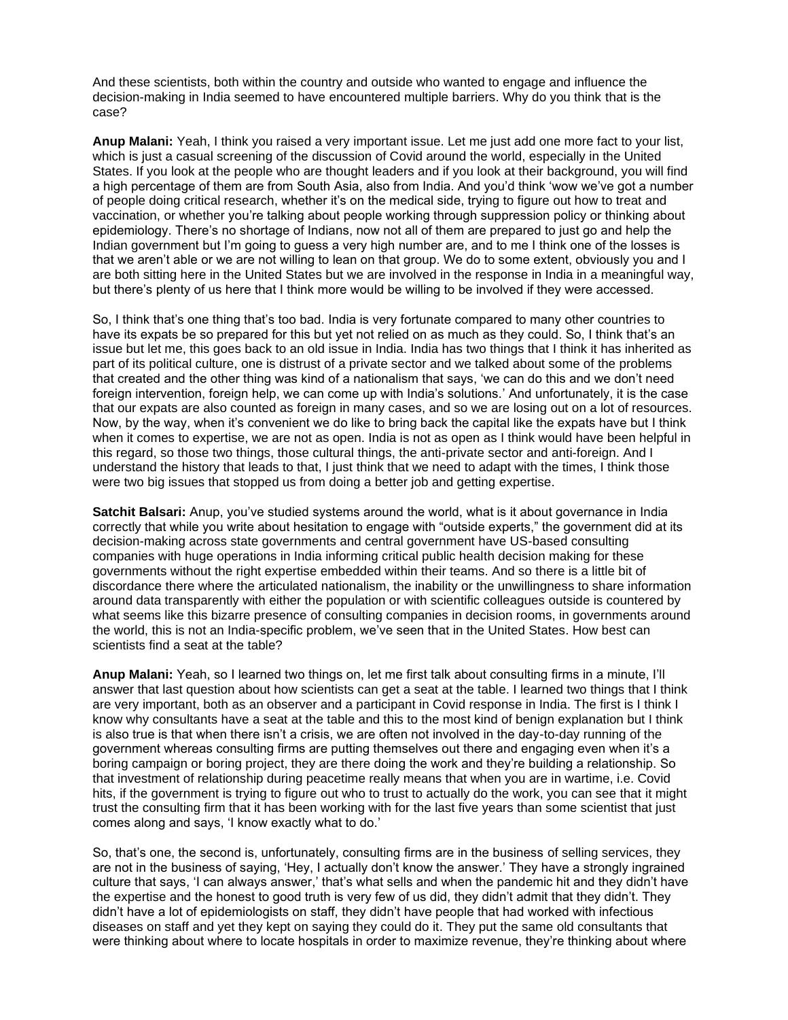And these scientists, both within the country and outside who wanted to engage and influence the decision-making in India seemed to have encountered multiple barriers. Why do you think that is the case?

**Anup Malani:** Yeah, I think you raised a very important issue. Let me just add one more fact to your list, which is just a casual screening of the discussion of Covid around the world, especially in the United States. If you look at the people who are thought leaders and if you look at their background, you will find a high percentage of them are from South Asia, also from India. And you'd think 'wow we've got a number of people doing critical research, whether it's on the medical side, trying to figure out how to treat and vaccination, or whether you're talking about people working through suppression policy or thinking about epidemiology. There's no shortage of Indians, now not all of them are prepared to just go and help the Indian government but I'm going to guess a very high number are, and to me I think one of the losses is that we aren't able or we are not willing to lean on that group. We do to some extent, obviously you and I are both sitting here in the United States but we are involved in the response in India in a meaningful way, but there's plenty of us here that I think more would be willing to be involved if they were accessed.

So, I think that's one thing that's too bad. India is very fortunate compared to many other countries to have its expats be so prepared for this but yet not relied on as much as they could. So, I think that's an issue but let me, this goes back to an old issue in India. India has two things that I think it has inherited as part of its political culture, one is distrust of a private sector and we talked about some of the problems that created and the other thing was kind of a nationalism that says, 'we can do this and we don't need foreign intervention, foreign help, we can come up with India's solutions.' And unfortunately, it is the case that our expats are also counted as foreign in many cases, and so we are losing out on a lot of resources. Now, by the way, when it's convenient we do like to bring back the capital like the expats have but I think when it comes to expertise, we are not as open. India is not as open as I think would have been helpful in this regard, so those two things, those cultural things, the anti-private sector and anti-foreign. And I understand the history that leads to that, I just think that we need to adapt with the times, I think those were two big issues that stopped us from doing a better job and getting expertise.

**Satchit Balsari:** Anup, you've studied systems around the world, what is it about governance in India correctly that while you write about hesitation to engage with "outside experts," the government did at its decision-making across state governments and central government have US-based consulting companies with huge operations in India informing critical public health decision making for these governments without the right expertise embedded within their teams. And so there is a little bit of discordance there where the articulated nationalism, the inability or the unwillingness to share information around data transparently with either the population or with scientific colleagues outside is countered by what seems like this bizarre presence of consulting companies in decision rooms, in governments around the world, this is not an India-specific problem, we've seen that in the United States. How best can scientists find a seat at the table?

**Anup Malani:** Yeah, so I learned two things on, let me first talk about consulting firms in a minute, I'll answer that last question about how scientists can get a seat at the table. I learned two things that I think are very important, both as an observer and a participant in Covid response in India. The first is I think I know why consultants have a seat at the table and this to the most kind of benign explanation but I think is also true is that when there isn't a crisis, we are often not involved in the day-to-day running of the government whereas consulting firms are putting themselves out there and engaging even when it's a boring campaign or boring project, they are there doing the work and they're building a relationship. So that investment of relationship during peacetime really means that when you are in wartime, i.e. Covid hits, if the government is trying to figure out who to trust to actually do the work, you can see that it might trust the consulting firm that it has been working with for the last five years than some scientist that just comes along and says, 'I know exactly what to do.'

So, that's one, the second is, unfortunately, consulting firms are in the business of selling services, they are not in the business of saying, 'Hey, I actually don't know the answer.' They have a strongly ingrained culture that says, 'I can always answer,' that's what sells and when the pandemic hit and they didn't have the expertise and the honest to good truth is very few of us did, they didn't admit that they didn't. They didn't have a lot of epidemiologists on staff, they didn't have people that had worked with infectious diseases on staff and yet they kept on saying they could do it. They put the same old consultants that were thinking about where to locate hospitals in order to maximize revenue, they're thinking about where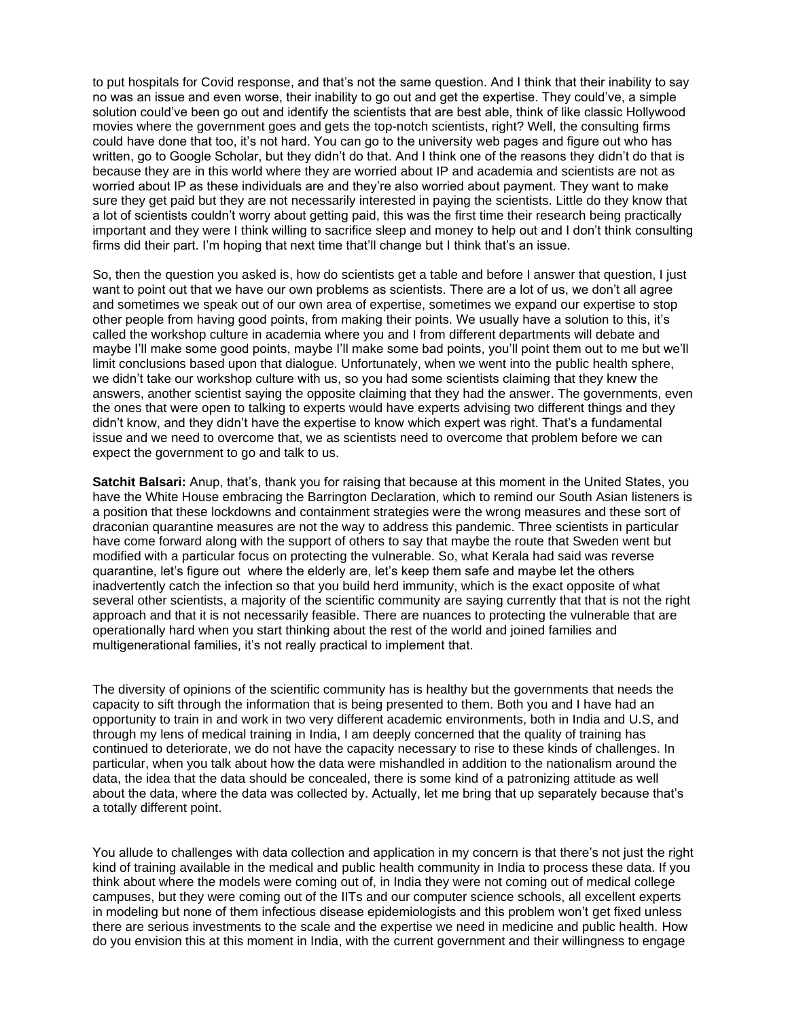to put hospitals for Covid response, and that's not the same question. And I think that their inability to say no was an issue and even worse, their inability to go out and get the expertise. They could've, a simple solution could've been go out and identify the scientists that are best able, think of like classic Hollywood movies where the government goes and gets the top-notch scientists, right? Well, the consulting firms could have done that too, it's not hard. You can go to the university web pages and figure out who has written, go to Google Scholar, but they didn't do that. And I think one of the reasons they didn't do that is because they are in this world where they are worried about IP and academia and scientists are not as worried about IP as these individuals are and they're also worried about payment. They want to make sure they get paid but they are not necessarily interested in paying the scientists. Little do they know that a lot of scientists couldn't worry about getting paid, this was the first time their research being practically important and they were I think willing to sacrifice sleep and money to help out and I don't think consulting firms did their part. I'm hoping that next time that'll change but I think that's an issue.

So, then the question you asked is, how do scientists get a table and before I answer that question, I just want to point out that we have our own problems as scientists. There are a lot of us, we don't all agree and sometimes we speak out of our own area of expertise, sometimes we expand our expertise to stop other people from having good points, from making their points. We usually have a solution to this, it's called the workshop culture in academia where you and I from different departments will debate and maybe I'll make some good points, maybe I'll make some bad points, you'll point them out to me but we'll limit conclusions based upon that dialogue. Unfortunately, when we went into the public health sphere, we didn't take our workshop culture with us, so you had some scientists claiming that they knew the answers, another scientist saying the opposite claiming that they had the answer. The governments, even the ones that were open to talking to experts would have experts advising two different things and they didn't know, and they didn't have the expertise to know which expert was right. That's a fundamental issue and we need to overcome that, we as scientists need to overcome that problem before we can expect the government to go and talk to us.

**Satchit Balsari:** Anup, that's, thank you for raising that because at this moment in the United States, you have the White House embracing the Barrington Declaration, which to remind our South Asian listeners is a position that these lockdowns and containment strategies were the wrong measures and these sort of draconian quarantine measures are not the way to address this pandemic. Three scientists in particular have come forward along with the support of others to say that maybe the route that Sweden went but modified with a particular focus on protecting the vulnerable. So, what Kerala had said was reverse quarantine, let's figure out where the elderly are, let's keep them safe and maybe let the others inadvertently catch the infection so that you build herd immunity, which is the exact opposite of what several other scientists, a majority of the scientific community are saying currently that that is not the right approach and that it is not necessarily feasible. There are nuances to protecting the vulnerable that are operationally hard when you start thinking about the rest of the world and joined families and multigenerational families, it's not really practical to implement that.

The diversity of opinions of the scientific community has is healthy but the governments that needs the capacity to sift through the information that is being presented to them. Both you and I have had an opportunity to train in and work in two very different academic environments, both in India and U.S, and through my lens of medical training in India, I am deeply concerned that the quality of training has continued to deteriorate, we do not have the capacity necessary to rise to these kinds of challenges. In particular, when you talk about how the data were mishandled in addition to the nationalism around the data, the idea that the data should be concealed, there is some kind of a patronizing attitude as well about the data, where the data was collected by. Actually, let me bring that up separately because that's a totally different point.

You allude to challenges with data collection and application in my concern is that there's not just the right kind of training available in the medical and public health community in India to process these data. If you think about where the models were coming out of, in India they were not coming out of medical college campuses, but they were coming out of the IITs and our computer science schools, all excellent experts in modeling but none of them infectious disease epidemiologists and this problem won't get fixed unless there are serious investments to the scale and the expertise we need in medicine and public health. How do you envision this at this moment in India, with the current government and their willingness to engage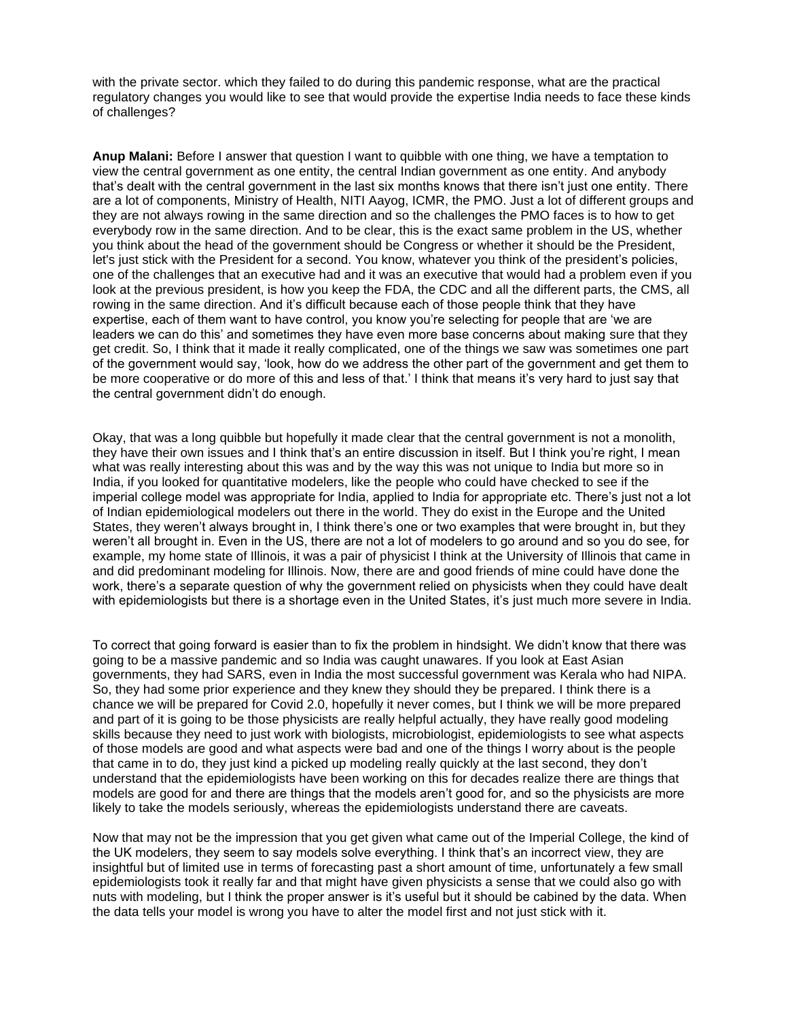with the private sector. which they failed to do during this pandemic response, what are the practical regulatory changes you would like to see that would provide the expertise India needs to face these kinds of challenges?

**Anup Malani:** Before I answer that question I want to quibble with one thing, we have a temptation to view the central government as one entity, the central Indian government as one entity. And anybody that's dealt with the central government in the last six months knows that there isn't just one entity. There are a lot of components, Ministry of Health, NITI Aayog, ICMR, the PMO. Just a lot of different groups and they are not always rowing in the same direction and so the challenges the PMO faces is to how to get everybody row in the same direction. And to be clear, this is the exact same problem in the US, whether you think about the head of the government should be Congress or whether it should be the President, let's just stick with the President for a second. You know, whatever you think of the president's policies, one of the challenges that an executive had and it was an executive that would had a problem even if you look at the previous president, is how you keep the FDA, the CDC and all the different parts, the CMS, all rowing in the same direction. And it's difficult because each of those people think that they have expertise, each of them want to have control, you know you're selecting for people that are 'we are leaders we can do this' and sometimes they have even more base concerns about making sure that they get credit. So, I think that it made it really complicated, one of the things we saw was sometimes one part of the government would say, 'look, how do we address the other part of the government and get them to be more cooperative or do more of this and less of that.' I think that means it's very hard to just say that the central government didn't do enough.

Okay, that was a long quibble but hopefully it made clear that the central government is not a monolith, they have their own issues and I think that's an entire discussion in itself. But I think you're right, I mean what was really interesting about this was and by the way this was not unique to India but more so in India, if you looked for quantitative modelers, like the people who could have checked to see if the imperial college model was appropriate for India, applied to India for appropriate etc. There's just not a lot of Indian epidemiological modelers out there in the world. They do exist in the Europe and the United States, they weren't always brought in, I think there's one or two examples that were brought in, but they weren't all brought in. Even in the US, there are not a lot of modelers to go around and so you do see, for example, my home state of Illinois, it was a pair of physicist I think at the University of Illinois that came in and did predominant modeling for Illinois. Now, there are and good friends of mine could have done the work, there's a separate question of why the government relied on physicists when they could have dealt with epidemiologists but there is a shortage even in the United States, it's just much more severe in India.

To correct that going forward is easier than to fix the problem in hindsight. We didn't know that there was going to be a massive pandemic and so India was caught unawares. If you look at East Asian governments, they had SARS, even in India the most successful government was Kerala who had NIPA. So, they had some prior experience and they knew they should they be prepared. I think there is a chance we will be prepared for Covid 2.0, hopefully it never comes, but I think we will be more prepared and part of it is going to be those physicists are really helpful actually, they have really good modeling skills because they need to just work with biologists, microbiologist, epidemiologists to see what aspects of those models are good and what aspects were bad and one of the things I worry about is the people that came in to do, they just kind a picked up modeling really quickly at the last second, they don't understand that the epidemiologists have been working on this for decades realize there are things that models are good for and there are things that the models aren't good for, and so the physicists are more likely to take the models seriously, whereas the epidemiologists understand there are caveats.

Now that may not be the impression that you get given what came out of the Imperial College, the kind of the UK modelers, they seem to say models solve everything. I think that's an incorrect view, they are insightful but of limited use in terms of forecasting past a short amount of time, unfortunately a few small epidemiologists took it really far and that might have given physicists a sense that we could also go with nuts with modeling, but I think the proper answer is it's useful but it should be cabined by the data. When the data tells your model is wrong you have to alter the model first and not just stick with it.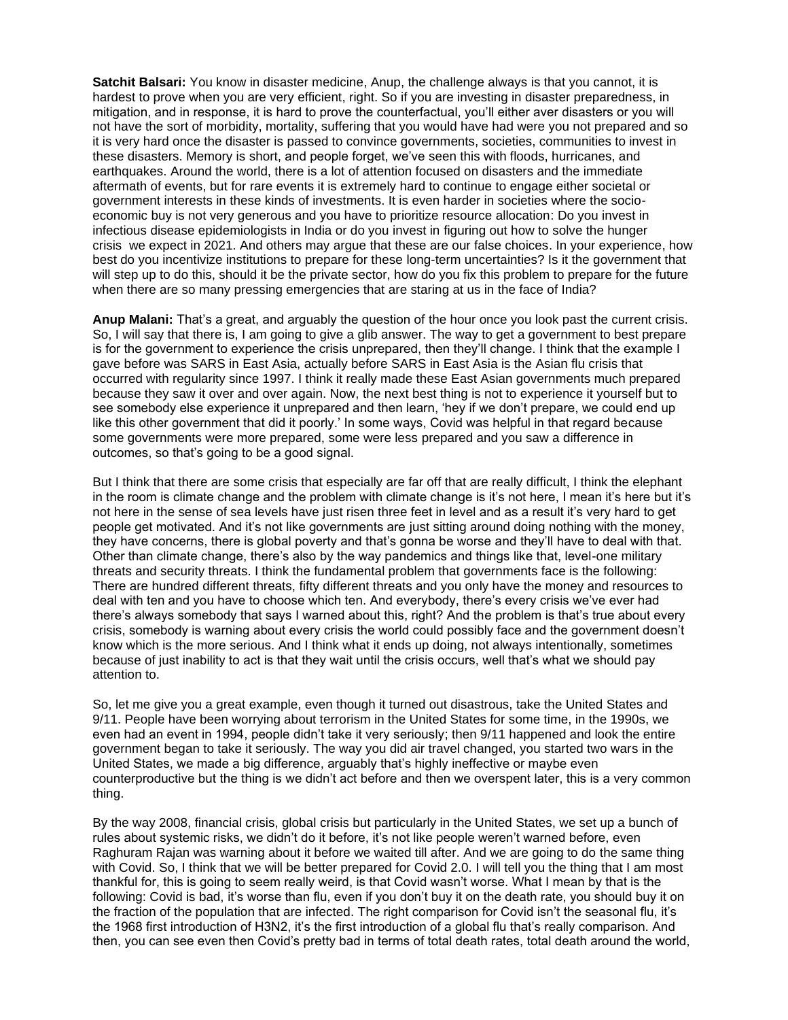**Satchit Balsari:** You know in disaster medicine, Anup, the challenge always is that you cannot, it is hardest to prove when you are very efficient, right. So if you are investing in disaster preparedness, in mitigation, and in response, it is hard to prove the counterfactual, you'll either aver disasters or you will not have the sort of morbidity, mortality, suffering that you would have had were you not prepared and so it is very hard once the disaster is passed to convince governments, societies, communities to invest in these disasters. Memory is short, and people forget, we've seen this with floods, hurricanes, and earthquakes. Around the world, there is a lot of attention focused on disasters and the immediate aftermath of events, but for rare events it is extremely hard to continue to engage either societal or government interests in these kinds of investments. It is even harder in societies where the socioeconomic buy is not very generous and you have to prioritize resource allocation: Do you invest in infectious disease epidemiologists in India or do you invest in figuring out how to solve the hunger crisis we expect in 2021. And others may argue that these are our false choices. In your experience, how best do you incentivize institutions to prepare for these long-term uncertainties? Is it the government that will step up to do this, should it be the private sector, how do you fix this problem to prepare for the future when there are so many pressing emergencies that are staring at us in the face of India?

**Anup Malani:** That's a great, and arguably the question of the hour once you look past the current crisis. So, I will say that there is, I am going to give a glib answer. The way to get a government to best prepare is for the government to experience the crisis unprepared, then they'll change. I think that the example I gave before was SARS in East Asia, actually before SARS in East Asia is the Asian flu crisis that occurred with regularity since 1997. I think it really made these East Asian governments much prepared because they saw it over and over again. Now, the next best thing is not to experience it yourself but to see somebody else experience it unprepared and then learn, 'hey if we don't prepare, we could end up like this other government that did it poorly.' In some ways, Covid was helpful in that regard because some governments were more prepared, some were less prepared and you saw a difference in outcomes, so that's going to be a good signal.

But I think that there are some crisis that especially are far off that are really difficult, I think the elephant in the room is climate change and the problem with climate change is it's not here, I mean it's here but it's not here in the sense of sea levels have just risen three feet in level and as a result it's very hard to get people get motivated. And it's not like governments are just sitting around doing nothing with the money, they have concerns, there is global poverty and that's gonna be worse and they'll have to deal with that. Other than climate change, there's also by the way pandemics and things like that, level-one military threats and security threats. I think the fundamental problem that governments face is the following: There are hundred different threats, fifty different threats and you only have the money and resources to deal with ten and you have to choose which ten. And everybody, there's every crisis we've ever had there's always somebody that says I warned about this, right? And the problem is that's true about every crisis, somebody is warning about every crisis the world could possibly face and the government doesn't know which is the more serious. And I think what it ends up doing, not always intentionally, sometimes because of just inability to act is that they wait until the crisis occurs, well that's what we should pay attention to.

So, let me give you a great example, even though it turned out disastrous, take the United States and 9/11. People have been worrying about terrorism in the United States for some time, in the 1990s, we even had an event in 1994, people didn't take it very seriously; then 9/11 happened and look the entire government began to take it seriously. The way you did air travel changed, you started two wars in the United States, we made a big difference, arguably that's highly ineffective or maybe even counterproductive but the thing is we didn't act before and then we overspent later, this is a very common thing.

By the way 2008, financial crisis, global crisis but particularly in the United States, we set up a bunch of rules about systemic risks, we didn't do it before, it's not like people weren't warned before, even Raghuram Rajan was warning about it before we waited till after. And we are going to do the same thing with Covid. So, I think that we will be better prepared for Covid 2.0. I will tell you the thing that I am most thankful for, this is going to seem really weird, is that Covid wasn't worse. What I mean by that is the following: Covid is bad, it's worse than flu, even if you don't buy it on the death rate, you should buy it on the fraction of the population that are infected. The right comparison for Covid isn't the seasonal flu, it's the 1968 first introduction of H3N2, it's the first introduction of a global flu that's really comparison. And then, you can see even then Covid's pretty bad in terms of total death rates, total death around the world,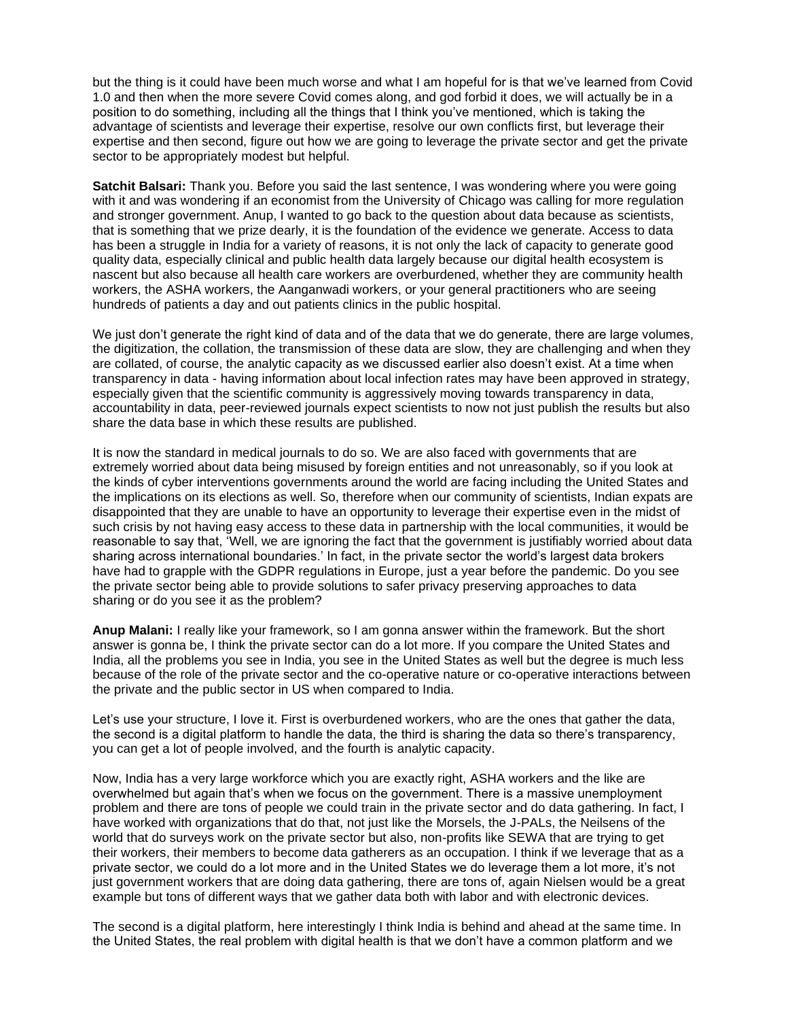but the thing is it could have been much worse and what I am hopeful for is that we've learned from Covid 1.0 and then when the more severe Covid comes along, and god forbid it does, we will actually be in a position to do something, including all the things that I think you've mentioned, which is taking the advantage of scientists and leverage their expertise, resolve our own conflicts first, but leverage their expertise and then second, figure out how we are going to leverage the private sector and get the private sector to be appropriately modest but helpful.

**Satchit Balsari:** Thank you. Before you said the last sentence, I was wondering where you were going with it and was wondering if an economist from the University of Chicago was calling for more regulation and stronger government. Anup, I wanted to go back to the question about data because as scientists, that is something that we prize dearly, it is the foundation of the evidence we generate. Access to data has been a struggle in India for a variety of reasons, it is not only the lack of capacity to generate good quality data, especially clinical and public health data largely because our digital health ecosystem is nascent but also because all health care workers are overburdened, whether they are community health workers, the ASHA workers, the Aanganwadi workers, or your general practitioners who are seeing hundreds of patients a day and out patients clinics in the public hospital.

We just don't generate the right kind of data and of the data that we do generate, there are large volumes, the digitization, the collation, the transmission of these data are slow, they are challenging and when they are collated, of course, the analytic capacity as we discussed earlier also doesn't exist. At a time when transparency in data - having information about local infection rates may have been approved in strategy, especially given that the scientific community is aggressively moving towards transparency in data, accountability in data, peer-reviewed journals expect scientists to now not just publish the results but also share the data base in which these results are published.

It is now the standard in medical journals to do so. We are also faced with governments that are extremely worried about data being misused by foreign entities and not unreasonably, so if you look at the kinds of cyber interventions governments around the world are facing including the United States and the implications on its elections as well. So, therefore when our community of scientists, Indian expats are disappointed that they are unable to have an opportunity to leverage their expertise even in the midst of such crisis by not having easy access to these data in partnership with the local communities, it would be reasonable to say that, 'Well, we are ignoring the fact that the government is justifiably worried about data sharing across international boundaries.' In fact, in the private sector the world's largest data brokers have had to grapple with the GDPR regulations in Europe, just a year before the pandemic. Do you see the private sector being able to provide solutions to safer privacy preserving approaches to data sharing or do you see it as the problem?

**Anup Malani:** I really like your framework, so I am gonna answer within the framework. But the short answer is gonna be, I think the private sector can do a lot more. If you compare the United States and India, all the problems you see in India, you see in the United States as well but the degree is much less because of the role of the private sector and the co-operative nature or co-operative interactions between the private and the public sector in US when compared to India.

Let's use your structure, I love it. First is overburdened workers, who are the ones that gather the data, the second is a digital platform to handle the data, the third is sharing the data so there's transparency, you can get a lot of people involved, and the fourth is analytic capacity.

Now, India has a very large workforce which you are exactly right, ASHA workers and the like are overwhelmed but again that's when we focus on the government. There is a massive unemployment problem and there are tons of people we could train in the private sector and do data gathering. In fact, I have worked with organizations that do that, not just like the Morsels, the J-PALs, the Neilsens of the world that do surveys work on the private sector but also, non-profits like SEWA that are trying to get their workers, their members to become data gatherers as an occupation. I think if we leverage that as a private sector, we could do a lot more and in the United States we do leverage them a lot more, it's not just government workers that are doing data gathering, there are tons of, again Nielsen would be a great example but tons of different ways that we gather data both with labor and with electronic devices.

The second is a digital platform, here interestingly I think India is behind and ahead at the same time. In the United States, the real problem with digital health is that we don't have a common platform and we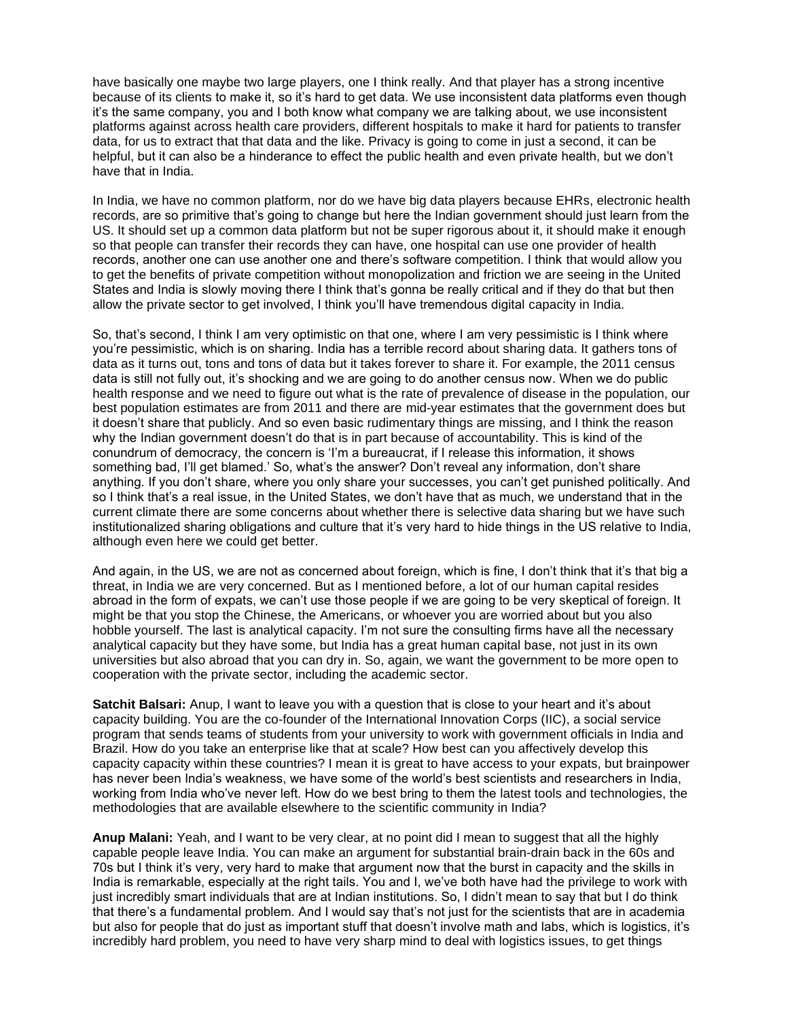have basically one maybe two large players, one I think really. And that player has a strong incentive because of its clients to make it, so it's hard to get data. We use inconsistent data platforms even though it's the same company, you and I both know what company we are talking about, we use inconsistent platforms against across health care providers, different hospitals to make it hard for patients to transfer data, for us to extract that that data and the like. Privacy is going to come in just a second, it can be helpful, but it can also be a hinderance to effect the public health and even private health, but we don't have that in India.

In India, we have no common platform, nor do we have big data players because EHRs, electronic health records, are so primitive that's going to change but here the Indian government should just learn from the US. It should set up a common data platform but not be super rigorous about it, it should make it enough so that people can transfer their records they can have, one hospital can use one provider of health records, another one can use another one and there's software competition. I think that would allow you to get the benefits of private competition without monopolization and friction we are seeing in the United States and India is slowly moving there I think that's gonna be really critical and if they do that but then allow the private sector to get involved, I think you'll have tremendous digital capacity in India.

So, that's second, I think I am very optimistic on that one, where I am very pessimistic is I think where you're pessimistic, which is on sharing. India has a terrible record about sharing data. It gathers tons of data as it turns out, tons and tons of data but it takes forever to share it. For example, the 2011 census data is still not fully out, it's shocking and we are going to do another census now. When we do public health response and we need to figure out what is the rate of prevalence of disease in the population, our best population estimates are from 2011 and there are mid-year estimates that the government does but it doesn't share that publicly. And so even basic rudimentary things are missing, and I think the reason why the Indian government doesn't do that is in part because of accountability. This is kind of the conundrum of democracy, the concern is 'I'm a bureaucrat, if I release this information, it shows something bad, I'll get blamed.' So, what's the answer? Don't reveal any information, don't share anything. If you don't share, where you only share your successes, you can't get punished politically. And so I think that's a real issue, in the United States, we don't have that as much, we understand that in the current climate there are some concerns about whether there is selective data sharing but we have such institutionalized sharing obligations and culture that it's very hard to hide things in the US relative to India, although even here we could get better.

And again, in the US, we are not as concerned about foreign, which is fine, I don't think that it's that big a threat, in India we are very concerned. But as I mentioned before, a lot of our human capital resides abroad in the form of expats, we can't use those people if we are going to be very skeptical of foreign. It might be that you stop the Chinese, the Americans, or whoever you are worried about but you also hobble yourself. The last is analytical capacity. I'm not sure the consulting firms have all the necessary analytical capacity but they have some, but India has a great human capital base, not just in its own universities but also abroad that you can dry in. So, again, we want the government to be more open to cooperation with the private sector, including the academic sector.

**Satchit Balsari:** Anup, I want to leave you with a question that is close to your heart and it's about capacity building. You are the co-founder of the International Innovation Corps (IIC), a social service program that sends teams of students from your university to work with government officials in India and Brazil. How do you take an enterprise like that at scale? How best can you affectively develop this capacity capacity within these countries? I mean it is great to have access to your expats, but brainpower has never been India's weakness, we have some of the world's best scientists and researchers in India, working from India who've never left. How do we best bring to them the latest tools and technologies, the methodologies that are available elsewhere to the scientific community in India?

**Anup Malani:** Yeah, and I want to be very clear, at no point did I mean to suggest that all the highly capable people leave India. You can make an argument for substantial brain-drain back in the 60s and 70s but I think it's very, very hard to make that argument now that the burst in capacity and the skills in India is remarkable, especially at the right tails. You and I, we've both have had the privilege to work with just incredibly smart individuals that are at Indian institutions. So, I didn't mean to say that but I do think that there's a fundamental problem. And I would say that's not just for the scientists that are in academia but also for people that do just as important stuff that doesn't involve math and labs, which is logistics, it's incredibly hard problem, you need to have very sharp mind to deal with logistics issues, to get things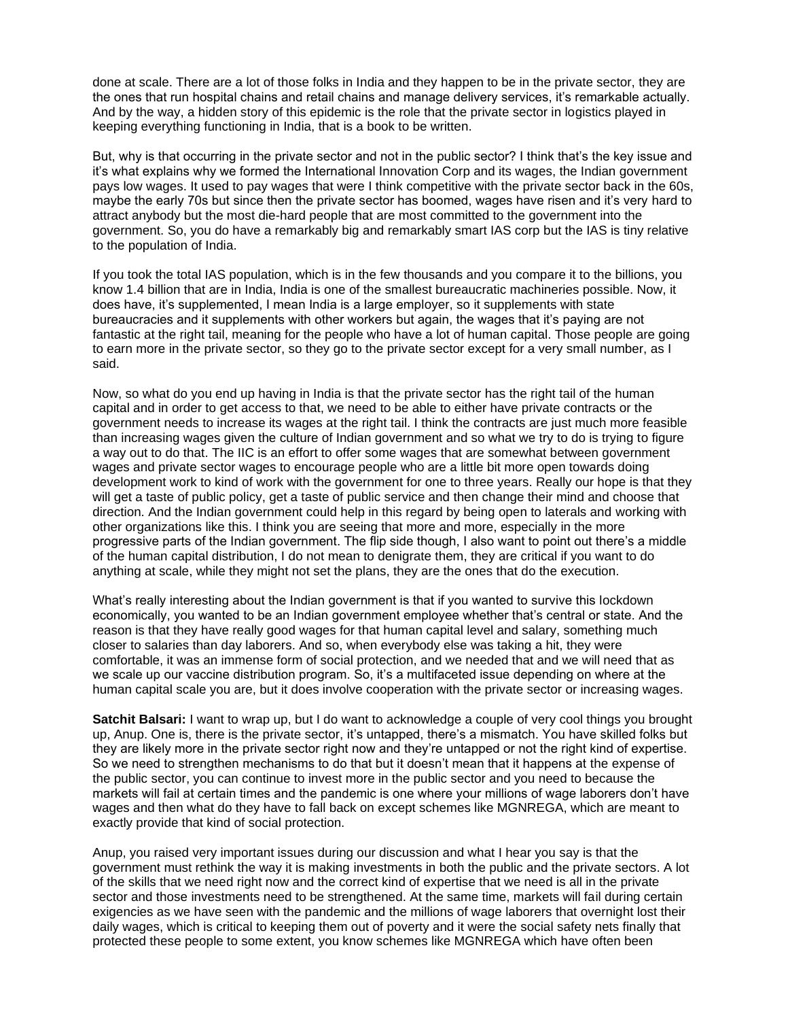done at scale. There are a lot of those folks in India and they happen to be in the private sector, they are the ones that run hospital chains and retail chains and manage delivery services, it's remarkable actually. And by the way, a hidden story of this epidemic is the role that the private sector in logistics played in keeping everything functioning in India, that is a book to be written.

But, why is that occurring in the private sector and not in the public sector? I think that's the key issue and it's what explains why we formed the International Innovation Corp and its wages, the Indian government pays low wages. It used to pay wages that were I think competitive with the private sector back in the 60s, maybe the early 70s but since then the private sector has boomed, wages have risen and it's very hard to attract anybody but the most die-hard people that are most committed to the government into the government. So, you do have a remarkably big and remarkably smart IAS corp but the IAS is tiny relative to the population of India.

If you took the total IAS population, which is in the few thousands and you compare it to the billions, you know 1.4 billion that are in India, India is one of the smallest bureaucratic machineries possible. Now, it does have, it's supplemented, I mean India is a large employer, so it supplements with state bureaucracies and it supplements with other workers but again, the wages that it's paying are not fantastic at the right tail, meaning for the people who have a lot of human capital. Those people are going to earn more in the private sector, so they go to the private sector except for a very small number, as I said.

Now, so what do you end up having in India is that the private sector has the right tail of the human capital and in order to get access to that, we need to be able to either have private contracts or the government needs to increase its wages at the right tail. I think the contracts are just much more feasible than increasing wages given the culture of Indian government and so what we try to do is trying to figure a way out to do that. The IIC is an effort to offer some wages that are somewhat between government wages and private sector wages to encourage people who are a little bit more open towards doing development work to kind of work with the government for one to three years. Really our hope is that they will get a taste of public policy, get a taste of public service and then change their mind and choose that direction. And the Indian government could help in this regard by being open to laterals and working with other organizations like this. I think you are seeing that more and more, especially in the more progressive parts of the Indian government. The flip side though, I also want to point out there's a middle of the human capital distribution, I do not mean to denigrate them, they are critical if you want to do anything at scale, while they might not set the plans, they are the ones that do the execution.

What's really interesting about the Indian government is that if you wanted to survive this lockdown economically, you wanted to be an Indian government employee whether that's central or state. And the reason is that they have really good wages for that human capital level and salary, something much closer to salaries than day laborers. And so, when everybody else was taking a hit, they were comfortable, it was an immense form of social protection, and we needed that and we will need that as we scale up our vaccine distribution program. So, it's a multifaceted issue depending on where at the human capital scale you are, but it does involve cooperation with the private sector or increasing wages.

**Satchit Balsari:** I want to wrap up, but I do want to acknowledge a couple of very cool things you brought up, Anup. One is, there is the private sector, it's untapped, there's a mismatch. You have skilled folks but they are likely more in the private sector right now and they're untapped or not the right kind of expertise. So we need to strengthen mechanisms to do that but it doesn't mean that it happens at the expense of the public sector, you can continue to invest more in the public sector and you need to because the markets will fail at certain times and the pandemic is one where your millions of wage laborers don't have wages and then what do they have to fall back on except schemes like MGNREGA, which are meant to exactly provide that kind of social protection.

Anup, you raised very important issues during our discussion and what I hear you say is that the government must rethink the way it is making investments in both the public and the private sectors. A lot of the skills that we need right now and the correct kind of expertise that we need is all in the private sector and those investments need to be strengthened. At the same time, markets will fail during certain exigencies as we have seen with the pandemic and the millions of wage laborers that overnight lost their daily wages, which is critical to keeping them out of poverty and it were the social safety nets finally that protected these people to some extent, you know schemes like MGNREGA which have often been